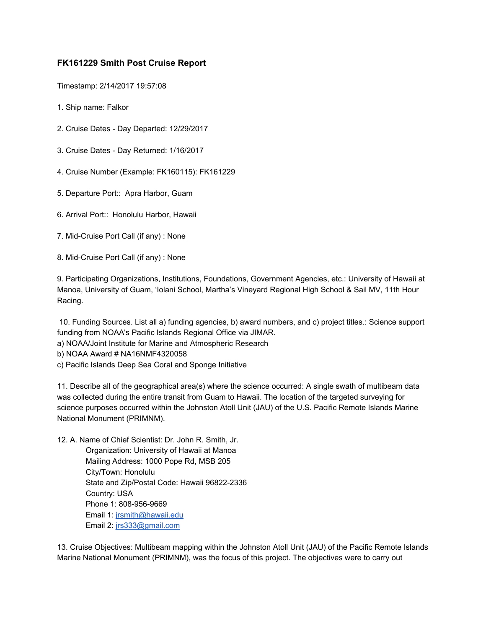## **FK161229 Smith Post Cruise Report**

Timestamp: 2/14/2017 19:57:08

- 1. Ship name: Falkor
- 2. Cruise Dates Day Departed: 12/29/2017
- 3. Cruise Dates Day Returned: 1/16/2017
- 4. Cruise Number (Example: FK160115): FK161229
- 5. Departure Port:: Apra Harbor, Guam
- 6. Arrival Port:: Honolulu Harbor, Hawaii
- 7. Mid-Cruise Port Call (if any) : None
- 8. Mid-Cruise Port Call (if any) : None

9. Participating Organizations, Institutions, Foundations, Government Agencies, etc.: University of Hawaii at Manoa, University of Guam, 'Iolani School, Martha's Vineyard Regional High School & Sail MV, 11th Hour Racing.

 10. Funding Sources. List all a) funding agencies, b) award numbers, and c) project titles.: Science support funding from NOAA's Pacific Islands Regional Office via JIMAR.

- a) NOAA/Joint Institute for Marine and Atmospheric Research
- b) NOAA Award # NA16NMF4320058
- c) Pacific Islands Deep Sea Coral and Sponge Initiative

11. Describe all of the geographical area(s) where the science occurred: A single swath of multibeam data was collected during the entire transit from Guam to Hawaii. The location of the targeted surveying for science purposes occurred within the Johnston Atoll Unit (JAU) of the U.S. Pacific Remote Islands Marine National Monument (PRIMNM).

12. A. Name of Chief Scientist: Dr. John R. Smith, Jr. Organization: University of Hawaii at Manoa Mailing Address: 1000 Pope Rd, MSB 205 City/Town: Honolulu State and Zip/Postal Code: Hawaii 96822-2336 Country: USA Phone 1: 808-956-9669 Email 1: [jrsmith@hawaii.edu](mailto:jrsmith@hawaii.edu) Email 2: [jrs333@gmail.com](mailto:jrs333@gmail.com)

13. Cruise Objectives: Multibeam mapping within the Johnston Atoll Unit (JAU) of the Pacific Remote Islands Marine National Monument (PRIMNM), was the focus of this project. The objectives were to carry out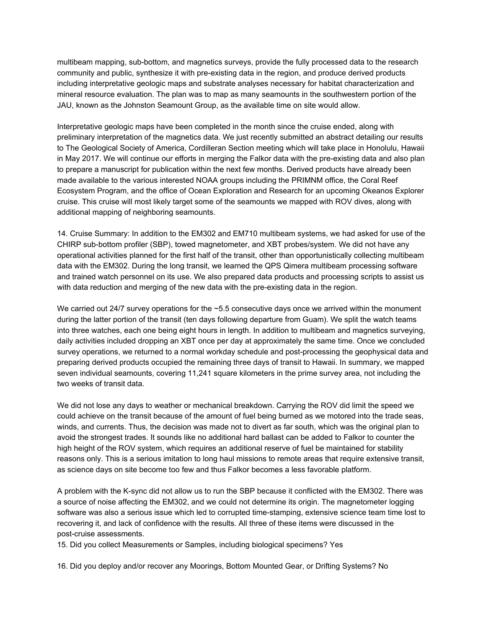multibeam mapping, sub-bottom, and magnetics surveys, provide the fully processed data to the research community and public, synthesize it with pre-existing data in the region, and produce derived products including interpretative geologic maps and substrate analyses necessary for habitat characterization and mineral resource evaluation. The plan was to map as many seamounts in the southwestern portion of the JAU, known as the Johnston Seamount Group, as the available time on site would allow.

Interpretative geologic maps have been completed in the month since the cruise ended, along with preliminary interpretation of the magnetics data. We just recently submitted an abstract detailing our results to The Geological Society of America, Cordilleran Section meeting which will take place in Honolulu, Hawaii in May 2017. We will continue our efforts in merging the Falkor data with the pre-existing data and also plan to prepare a manuscript for publication within the next few months. Derived products have already been made available to the various interested NOAA groups including the PRIMNM office, the Coral Reef Ecosystem Program, and the office of Ocean Exploration and Research for an upcoming Okeanos Explorer cruise. This cruise will most likely target some of the seamounts we mapped with ROV dives, along with additional mapping of neighboring seamounts.

14. Cruise Summary: In addition to the EM302 and EM710 multibeam systems, we had asked for use of the CHIRP sub-bottom profiler (SBP), towed magnetometer, and XBT probes/system. We did not have any operational activities planned for the first half of the transit, other than opportunistically collecting multibeam data with the EM302. During the long transit, we learned the QPS Qimera multibeam processing software and trained watch personnel on its use. We also prepared data products and processing scripts to assist us with data reduction and merging of the new data with the pre-existing data in the region.

We carried out 24/7 survey operations for the ~5.5 consecutive days once we arrived within the monument during the latter portion of the transit (ten days following departure from Guam). We split the watch teams into three watches, each one being eight hours in length. In addition to multibeam and magnetics surveying, daily activities included dropping an XBT once per day at approximately the same time. Once we concluded survey operations, we returned to a normal workday schedule and post-processing the geophysical data and preparing derived products occupied the remaining three days of transit to Hawaii. In summary, we mapped seven individual seamounts, covering 11,241 square kilometers in the prime survey area, not including the two weeks of transit data.

We did not lose any days to weather or mechanical breakdown. Carrying the ROV did limit the speed we could achieve on the transit because of the amount of fuel being burned as we motored into the trade seas, winds, and currents. Thus, the decision was made not to divert as far south, which was the original plan to avoid the strongest trades. It sounds like no additional hard ballast can be added to Falkor to counter the high height of the ROV system, which requires an additional reserve of fuel be maintained for stability reasons only. This is a serious imitation to long haul missions to remote areas that require extensive transit, as science days on site become too few and thus Falkor becomes a less favorable platform.

A problem with the K-sync did not allow us to run the SBP because it conflicted with the EM302. There was a source of noise affecting the EM302, and we could not determine its origin. The magnetometer logging software was also a serious issue which led to corrupted time-stamping, extensive science team time lost to recovering it, and lack of confidence with the results. All three of these items were discussed in the post-cruise assessments.

15. Did you collect Measurements or Samples, including biological specimens? Yes

16. Did you deploy and/or recover any Moorings, Bottom Mounted Gear, or Drifting Systems? No